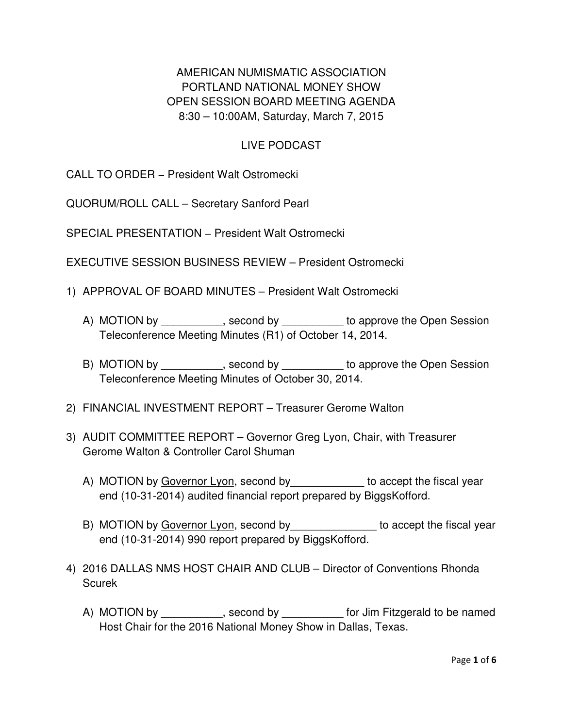AMERICAN NUMISMATIC ASSOCIATION PORTLAND NATIONAL MONEY SHOW OPEN SESSION BOARD MEETING AGENDA 8:30 – 10:00AM, Saturday, March 7, 2015

### LIVE PODCAST

CALL TO ORDER – President Walt Ostromecki

QUORUM/ROLL CALL – Secretary Sanford Pearl

SPECIAL PRESENTATION – President Walt Ostromecki

EXECUTIVE SESSION BUSINESS REVIEW – President Ostromecki

- 1) APPROVAL OF BOARD MINUTES President Walt Ostromecki
	- A) MOTION by \_\_\_\_\_\_\_\_\_\_, second by \_\_\_\_\_\_\_\_\_\_ to approve the Open Session Teleconference Meeting Minutes (R1) of October 14, 2014.
	- B) MOTION by example by to approve the Open Session Teleconference Meeting Minutes of October 30, 2014.
- 2) FINANCIAL INVESTMENT REPORT Treasurer Gerome Walton
- 3) AUDIT COMMITTEE REPORT Governor Greg Lyon, Chair, with Treasurer Gerome Walton & Controller Carol Shuman
	- A) MOTION by Governor Lyon, second by discussed to accept the fiscal year end (10-31-2014) audited financial report prepared by BiggsKofford.
	- B) MOTION by Governor Lyon, second by substance to accept the fiscal year end (10-31-2014) 990 report prepared by BiggsKofford.
- 4) 2016 DALLAS NMS HOST CHAIR AND CLUB Director of Conventions Rhonda Scurek
	- A) MOTION by example by second by the second by the second by second by the second by the second by the second by Host Chair for the 2016 National Money Show in Dallas, Texas.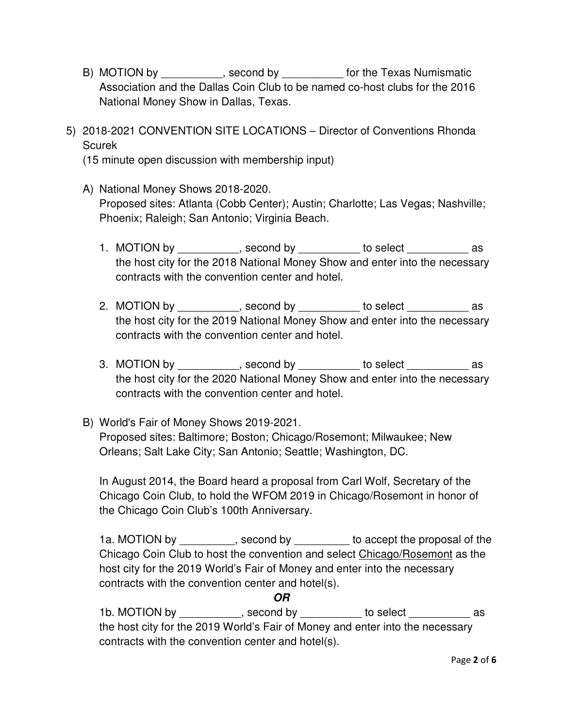- B) MOTION by \_\_\_\_\_\_\_\_\_, second by \_\_\_\_\_\_\_\_\_\_\_ for the Texas Numismatic Association and the Dallas Coin Club to be named co-host clubs for the 2016 National Money Show in Dallas, Texas.
- 5) 2018-2021 CONVENTION SITE LOCATIONS Director of Conventions Rhonda Scurek

(15 minute open discussion with membership input)

- A) National Money Shows 2018-2020. Proposed sites: Atlanta (Cobb Center); Austin; Charlotte; Las Vegas; Nashville; Phoenix; Raleigh; San Antonio; Virginia Beach.
	- 1. MOTION by example by second by the select as a second by the select as a second by the select as a second by the host city for the 2018 National Money Show and enter into the necessary contracts with the convention center and hotel.
	- 2. MOTION by \_\_\_\_\_\_\_\_\_, second by \_\_\_\_\_\_\_\_\_ to select \_\_\_\_\_\_\_\_\_ as the host city for the 2019 National Money Show and enter into the necessary contracts with the convention center and hotel.
	- 3. MOTION by example by second by the select as as the host city for the 2020 National Money Show and enter into the necessary contracts with the convention center and hotel.
- B) World's Fair of Money Shows 2019-2021. Proposed sites: Baltimore; Boston; Chicago/Rosemont; Milwaukee; New Orleans; Salt Lake City; San Antonio; Seattle; Washington, DC.

In August 2014, the Board heard a proposal from Carl Wolf, Secretary of the Chicago Coin Club, to hold the WFOM 2019 in Chicago/Rosemont in honor of the Chicago Coin Club's 100th Anniversary.

1a. MOTION by example by second by to accept the proposal of the Chicago Coin Club to host the convention and select Chicago/Rosemont as the host city for the 2019 World's Fair of Money and enter into the necessary contracts with the convention center and hotel(s).

**OR** 

1b. MOTION by example by to select as the host city for the 2019 World's Fair of Money and enter into the necessary contracts with the convention center and hotel(s).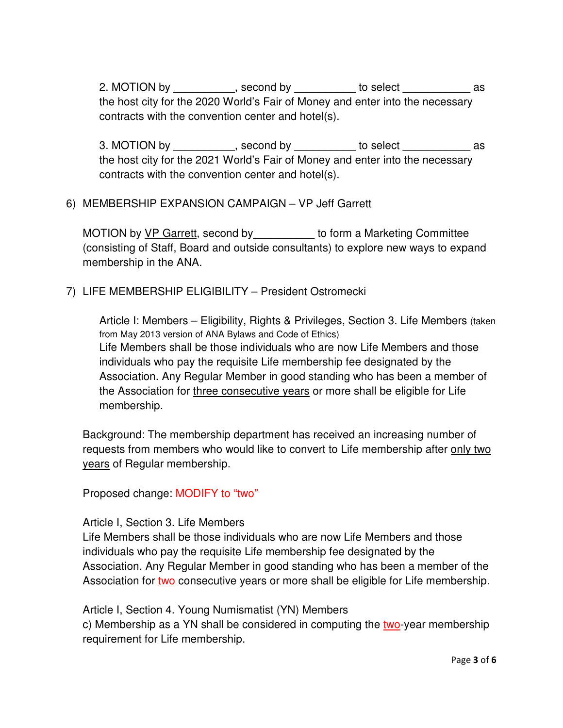2. MOTION by \_\_\_\_\_\_\_\_\_\_, second by \_\_\_\_\_\_\_\_\_\_ to select \_\_\_\_\_\_\_\_\_\_\_\_\_ as the host city for the 2020 World's Fair of Money and enter into the necessary contracts with the convention center and hotel(s).

3. MOTION by \_\_\_\_\_\_\_\_\_\_, second by \_\_\_\_\_\_\_\_\_\_ to select \_\_\_\_\_\_\_\_\_\_\_\_\_ as the host city for the 2021 World's Fair of Money and enter into the necessary contracts with the convention center and hotel(s).

### 6) MEMBERSHIP EXPANSION CAMPAIGN – VP Jeff Garrett

MOTION by VP Garrett, second by do form a Marketing Committee (consisting of Staff, Board and outside consultants) to explore new ways to expand membership in the ANA.

7) LIFE MEMBERSHIP ELIGIBILITY – President Ostromecki

Article I: Members – Eligibility, Rights & Privileges, Section 3. Life Members (taken from May 2013 version of ANA Bylaws and Code of Ethics) Life Members shall be those individuals who are now Life Members and those individuals who pay the requisite Life membership fee designated by the Association. Any Regular Member in good standing who has been a member of the Association for three consecutive years or more shall be eligible for Life membership.

Background: The membership department has received an increasing number of requests from members who would like to convert to Life membership after only two years of Regular membership.

Proposed change: MODIFY to "two"

#### Article I, Section 3. Life Members

Life Members shall be those individuals who are now Life Members and those individuals who pay the requisite Life membership fee designated by the Association. Any Regular Member in good standing who has been a member of the Association for two consecutive years or more shall be eligible for Life membership.

Article I, Section 4. Young Numismatist (YN) Members c) Membership as a YN shall be considered in computing the two-year membership requirement for Life membership.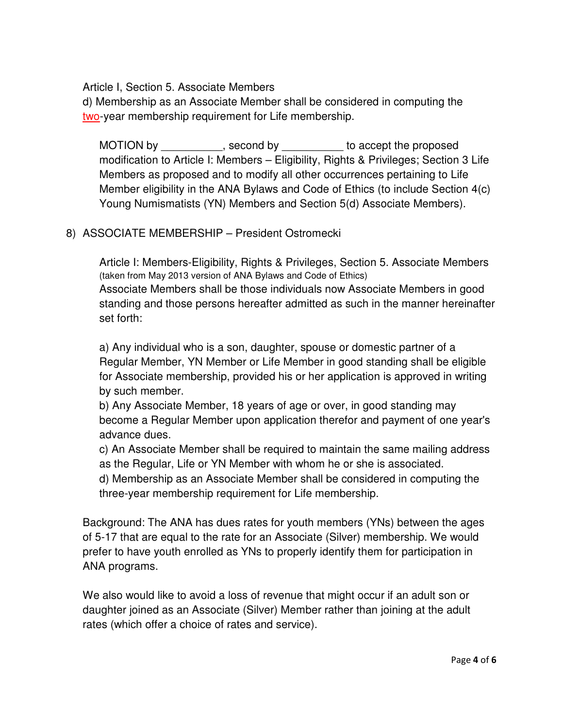Article I, Section 5. Associate Members

d) Membership as an Associate Member shall be considered in computing the two-year membership requirement for Life membership.

MOTION by \_\_\_\_\_\_\_\_\_\_\_, second by \_\_\_\_\_\_\_\_\_\_ to accept the proposed modification to Article I: Members – Eligibility, Rights & Privileges; Section 3 Life Members as proposed and to modify all other occurrences pertaining to Life Member eligibility in the ANA Bylaws and Code of Ethics (to include Section 4(c) Young Numismatists (YN) Members and Section 5(d) Associate Members).

#### 8) ASSOCIATE MEMBERSHIP – President Ostromecki

Article I: Members-Eligibility, Rights & Privileges, Section 5. Associate Members (taken from May 2013 version of ANA Bylaws and Code of Ethics) Associate Members shall be those individuals now Associate Members in good standing and those persons hereafter admitted as such in the manner hereinafter set forth:

a) Any individual who is a son, daughter, spouse or domestic partner of a Regular Member, YN Member or Life Member in good standing shall be eligible for Associate membership, provided his or her application is approved in writing by such member.

b) Any Associate Member, 18 years of age or over, in good standing may become a Regular Member upon application therefor and payment of one year's advance dues.

c) An Associate Member shall be required to maintain the same mailing address as the Regular, Life or YN Member with whom he or she is associated.

d) Membership as an Associate Member shall be considered in computing the three-year membership requirement for Life membership.

Background: The ANA has dues rates for youth members (YNs) between the ages of 5-17 that are equal to the rate for an Associate (Silver) membership. We would prefer to have youth enrolled as YNs to properly identify them for participation in ANA programs.

We also would like to avoid a loss of revenue that might occur if an adult son or daughter joined as an Associate (Silver) Member rather than joining at the adult rates (which offer a choice of rates and service).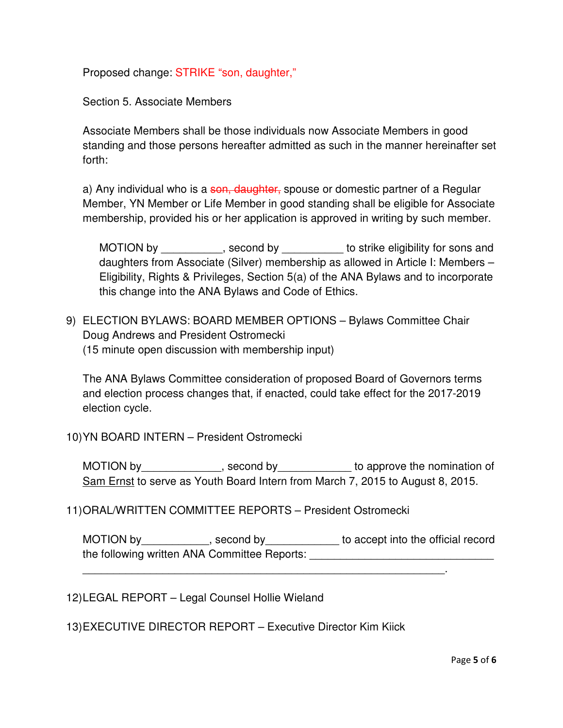Proposed change: STRIKE "son, daughter,"

Section 5. Associate Members

Associate Members shall be those individuals now Associate Members in good standing and those persons hereafter admitted as such in the manner hereinafter set forth:

a) Any individual who is a son, daughter, spouse or domestic partner of a Regular Member, YN Member or Life Member in good standing shall be eligible for Associate membership, provided his or her application is approved in writing by such member.

MOTION by example by second by to strike eligibility for sons and daughters from Associate (Silver) membership as allowed in Article I: Members – Eligibility, Rights & Privileges, Section 5(a) of the ANA Bylaws and to incorporate this change into the ANA Bylaws and Code of Ethics.

9) ELECTION BYLAWS: BOARD MEMBER OPTIONS – Bylaws Committee Chair Doug Andrews and President Ostromecki (15 minute open discussion with membership input)

The ANA Bylaws Committee consideration of proposed Board of Governors terms and election process changes that, if enacted, could take effect for the 2017-2019 election cycle.

10) YN BOARD INTERN – President Ostromecki

MOTION by\_\_\_\_\_\_\_\_\_\_\_\_\_, second by\_\_\_\_\_\_\_\_\_\_\_\_\_ to approve the nomination of Sam Ernst to serve as Youth Board Intern from March 7, 2015 to August 8, 2015.

11) ORAL/WRITTEN COMMITTEE REPORTS – President Ostromecki

MOTION by \_\_\_\_\_\_\_\_\_\_\_, second by \_\_\_\_\_\_\_\_\_\_\_\_\_ to accept into the official record the following written ANA Committee Reports:

\_\_\_\_\_\_\_\_\_\_\_\_\_\_\_\_\_\_\_\_\_\_\_\_\_\_\_\_\_\_\_\_\_\_\_\_\_\_\_\_\_\_\_\_\_\_\_\_\_\_\_\_\_\_\_\_\_\_\_.

12) LEGAL REPORT – Legal Counsel Hollie Wieland

13) EXECUTIVE DIRECTOR REPORT – Executive Director Kim Kiick